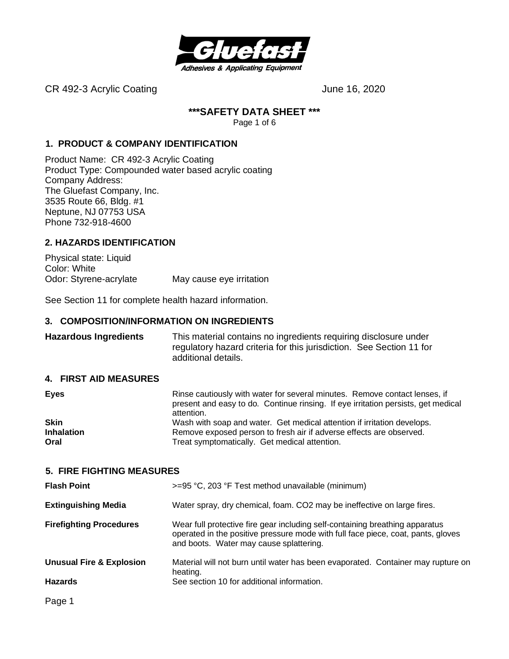

CR 492-3 Acrylic Coating Carrier Content of the United States of the United States June 16, 2020

#### **\*\*\*SAFETY DATA SHEET \*\*\***

Page 1 of 6

#### **1. PRODUCT & COMPANY IDENTIFICATION**

Product Name: CR 492-3 Acrylic Coating Product Type: Compounded water based acrylic coating Company Address: The Gluefast Company, Inc. 3535 Route 66, Bldg. #1 Neptune, NJ 07753 USA Phone 732-918-4600

#### **2. HAZARDS IDENTIFICATION**

Physical state: Liquid Color: White Odor: Styrene-acrylate May cause eye irritation

See Section 11 for complete health hazard information.

#### **3. COMPOSITION/INFORMATION ON INGREDIENTS**

**Hazardous Ingredients** This material contains no ingredients requiring disclosure under regulatory hazard criteria for this jurisdiction. See Section 11 for additional details.

#### **4. FIRST AID MEASURES**

| <b>Eyes</b>       | Rinse cautiously with water for several minutes. Remove contact lenses, if<br>present and easy to do. Continue rinsing. If eye irritation persists, get medical<br>attention. |
|-------------------|-------------------------------------------------------------------------------------------------------------------------------------------------------------------------------|
| <b>Skin</b>       | Wash with soap and water. Get medical attention if irritation develops.                                                                                                       |
| <b>Inhalation</b> | Remove exposed person to fresh air if adverse effects are observed.                                                                                                           |
| Oral              | Treat symptomatically. Get medical attention.                                                                                                                                 |

#### **5. FIRE FIGHTING MEASURES**

| <b>Flash Point</b>                  | >=95 °C, 203 °F Test method unavailable (minimum)                                                                                                                                                           |  |  |
|-------------------------------------|-------------------------------------------------------------------------------------------------------------------------------------------------------------------------------------------------------------|--|--|
| <b>Extinguishing Media</b>          | Water spray, dry chemical, foam. CO2 may be ineffective on large fires.                                                                                                                                     |  |  |
| <b>Firefighting Procedures</b>      | Wear full protective fire gear including self-containing breathing apparatus<br>operated in the positive pressure mode with full face piece, coat, pants, gloves<br>and boots. Water may cause splattering. |  |  |
| <b>Unusual Fire &amp; Explosion</b> | Material will not burn until water has been evaporated. Container may rupture on<br>heating.                                                                                                                |  |  |
| <b>Hazards</b>                      | See section 10 for additional information.                                                                                                                                                                  |  |  |
| Page 1                              |                                                                                                                                                                                                             |  |  |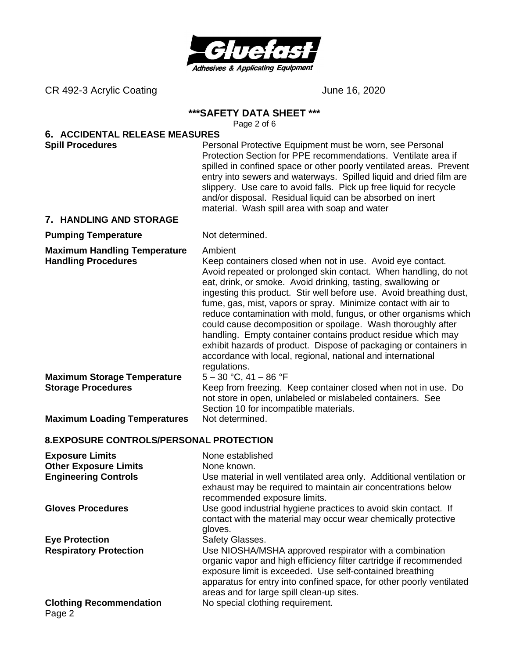

CR 492-3 Acrylic Coating Carrier Content of the United States of the United States of the United States of the U

#### **\*\*\*SAFETY DATA SHEET \*\*\***

Page 2 of 6

# **6. ACCIDENTAL RELEASE MEASURES**

**Spill Procedures Personal Protective Equipment must be worn, see Personal Protective Equipment must be worn, see Personal** Protection Section for PPE recommendations. Ventilate area if spilled in confined space or other poorly ventilated areas. Prevent entry into sewers and waterways. Spilled liquid and dried film are slippery. Use care to avoid falls. Pick up free liquid for recycle and/or disposal. Residual liquid can be absorbed on inert material. Wash spill area with soap and water

#### **7. HANDLING AND STORAGE**

#### **Pumping Temperature** Not determined.

**Maximum Handling Temperature** Ambient

**Handling Procedures** Keep containers closed when not in use. Avoid eye contact. Avoid repeated or prolonged skin contact. When handling, do not eat, drink, or smoke. Avoid drinking, tasting, swallowing or ingesting this product. Stir well before use. Avoid breathing dust, fume, gas, mist, vapors or spray. Minimize contact with air to reduce contamination with mold, fungus, or other organisms which could cause decomposition or spoilage. Wash thoroughly after handling. Empty container contains product residue which may exhibit hazards of product. Dispose of packaging or containers in accordance with local, regional, national and international regulations.

**Maximum Storage Temperature** 5 – 30 °C, 41 – 86 °F **Storage Procedures** Keep from freezing. Keep container closed when not in use. Do

not store in open, unlabeled or mislabeled containers. See Section 10 for incompatible materials.

**Maximum Loading Temperatures** Not determined.

#### **8. EXPOSURE CONTROLS/PERSONAL PROTECTION**

| <b>Exposure Limits</b>                   | None established                                                                                                                                                                                                                                                                                             |
|------------------------------------------|--------------------------------------------------------------------------------------------------------------------------------------------------------------------------------------------------------------------------------------------------------------------------------------------------------------|
| <b>Other Exposure Limits</b>             | None known.                                                                                                                                                                                                                                                                                                  |
| <b>Engineering Controls</b>              | Use material in well ventilated area only. Additional ventilation or<br>exhaust may be required to maintain air concentrations below<br>recommended exposure limits.                                                                                                                                         |
| <b>Gloves Procedures</b>                 | Use good industrial hygiene practices to avoid skin contact. If<br>contact with the material may occur wear chemically protective<br>gloves.                                                                                                                                                                 |
| <b>Eye Protection</b>                    | Safety Glasses.                                                                                                                                                                                                                                                                                              |
| <b>Respiratory Protection</b>            | Use NIOSHA/MSHA approved respirator with a combination<br>organic vapor and high efficiency filter cartridge if recommended<br>exposure limit is exceeded. Use self-contained breathing<br>apparatus for entry into confined space, for other poorly ventilated<br>areas and for large spill clean-up sites. |
| <b>Clothing Recommendation</b><br>Page 2 | No special clothing requirement.                                                                                                                                                                                                                                                                             |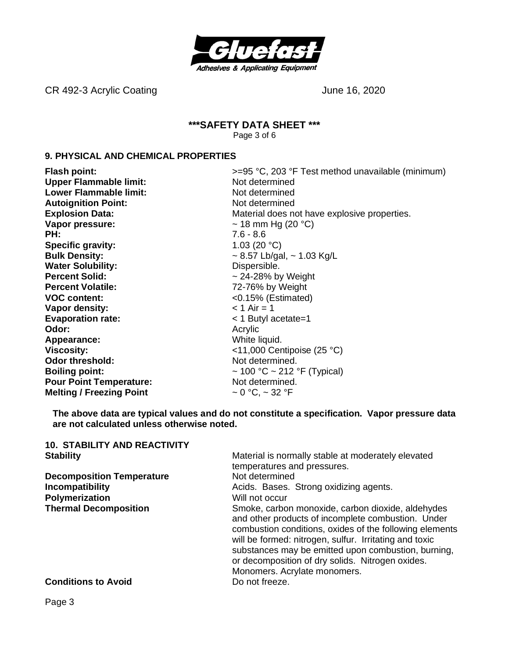

CR 492-3 Acrylic Coating Carrier Content of the United States of the United States of the United States of the U

#### **\*\*\*SAFETY DATA SHEET \*\*\*** Page 3 of 6

#### **9. PHYSICAL AND CHEMICAL PROPERTIES**

**Flash point:**  $\rightarrow$  5<sup>o</sup>C, 203 °F Test method unavailable (minimum) **Upper Flammable limit:** Not determined **Lower Flammable limit:** Not determined **Autoignition Point:** Not determined **Explosion Data:** Material does not have explosive properties. **Vapor pressure:**  $\sim$  18 mm Hg (20 °C) **PH:** 7.6 - 8.6 **Specific gravity:** 1.03 (20 °C) **Bulk Density:**  $\sim 8.57$  Lb/gal,  $\sim 1.03$  Kg/L **Water Solubility:** Dispersible. **Percent Solid:**  $\sim$  24-28% by Weight **Percent Volatile:** 72-76% by Weight **VOC content:** <0.15% (Estimated) **Vapor density:**  $\lt 1$  Air = 1 **Evaporation rate:**  $\leq 1$  Butyl acetate=1 **Odor:** Acrylic Acrylic Acrylic Acrylic Acrylic Acrylic Acrylic Acrylic Acrylic Acrylic Acrylic Acrylic Acrylic Acrylic Acrylic Acrylic Acrylic Acrylic Acrylic Acrylic Acrylic Acrylic Acrylic Acrylic Acrylic Acrylic Acryli **Appearance:** White liquid. **Viscosity:**  $\left(25 \text{ °C}\right)$ **Odor threshold:** Not determined. **Boiling point:**  $\sim 100 \, \text{°C} \sim 212 \, \text{°F}$  (Typical) **Pour Point Temperature:** Not determined. **Melting / Freezing Point**  $\sim 0 \degree C$ ,  $\sim 32 \degree F$ 

**The above data are typical values and do not constitute a specification. Vapor pressure data are not calculated unless otherwise noted.**

| <b>10. STABILITY AND REACTIVITY</b> |                                                                                                                                                                                                                                                                                                                                                                         |
|-------------------------------------|-------------------------------------------------------------------------------------------------------------------------------------------------------------------------------------------------------------------------------------------------------------------------------------------------------------------------------------------------------------------------|
| <b>Stability</b>                    | Material is normally stable at moderately elevated                                                                                                                                                                                                                                                                                                                      |
|                                     | temperatures and pressures.                                                                                                                                                                                                                                                                                                                                             |
| <b>Decomposition Temperature</b>    | Not determined                                                                                                                                                                                                                                                                                                                                                          |
| <b>Incompatibility</b>              | Acids. Bases. Strong oxidizing agents.                                                                                                                                                                                                                                                                                                                                  |
| Polymerization                      | Will not occur                                                                                                                                                                                                                                                                                                                                                          |
| <b>Thermal Decomposition</b>        | Smoke, carbon monoxide, carbon dioxide, aldehydes<br>and other products of incomplete combustion. Under<br>combustion conditions, oxides of the following elements<br>will be formed: nitrogen, sulfur. Irritating and toxic<br>substances may be emitted upon combustion, burning,<br>or decomposition of dry solids. Nitrogen oxides.<br>Monomers. Acrylate monomers. |
| <b>Conditions to Avoid</b>          | Do not freeze.                                                                                                                                                                                                                                                                                                                                                          |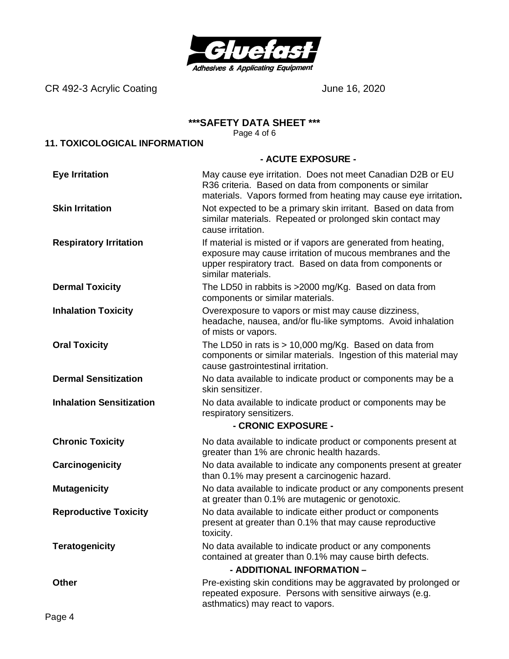

CR 492-3 Acrylic Coating Carrier Context Context Context Context Context Context Context Context Context Context Context Context Context Context Context Context Context Context Context Context Context Context Context Conte

#### **\*\*\*SAFETY DATA SHEET \*\*\***

Page 4 of 6

# **11. TOXICOLOGICAL INFORMATION**

#### **- ACUTE EXPOSURE -**

| <b>Eye Irritation</b>           | May cause eye irritation. Does not meet Canadian D2B or EU<br>R36 criteria. Based on data from components or similar<br>materials. Vapors formed from heating may cause eye irritation.                        |  |  |
|---------------------------------|----------------------------------------------------------------------------------------------------------------------------------------------------------------------------------------------------------------|--|--|
| <b>Skin Irritation</b>          | Not expected to be a primary skin irritant. Based on data from<br>similar materials. Repeated or prolonged skin contact may<br>cause irritation.                                                               |  |  |
| <b>Respiratory Irritation</b>   | If material is misted or if vapors are generated from heating,<br>exposure may cause irritation of mucous membranes and the<br>upper respiratory tract. Based on data from components or<br>similar materials. |  |  |
| <b>Dermal Toxicity</b>          | The LD50 in rabbits is >2000 mg/Kg. Based on data from<br>components or similar materials.                                                                                                                     |  |  |
| <b>Inhalation Toxicity</b>      | Overexposure to vapors or mist may cause dizziness,<br>headache, nausea, and/or flu-like symptoms. Avoid inhalation<br>of mists or vapors.                                                                     |  |  |
| <b>Oral Toxicity</b>            | The LD50 in rats is $> 10,000$ mg/Kg. Based on data from<br>components or similar materials. Ingestion of this material may<br>cause gastrointestinal irritation.                                              |  |  |
| <b>Dermal Sensitization</b>     | No data available to indicate product or components may be a<br>skin sensitizer.                                                                                                                               |  |  |
| <b>Inhalation Sensitization</b> | No data available to indicate product or components may be<br>respiratory sensitizers.<br>- CRONIC EXPOSURE -                                                                                                  |  |  |
| <b>Chronic Toxicity</b>         | No data available to indicate product or components present at<br>greater than 1% are chronic health hazards.                                                                                                  |  |  |
| Carcinogenicity                 | No data available to indicate any components present at greater<br>than 0.1% may present a carcinogenic hazard.                                                                                                |  |  |
| <b>Mutagenicity</b>             | No data available to indicate product or any components present<br>at greater than 0.1% are mutagenic or genotoxic.                                                                                            |  |  |
| <b>Reproductive Toxicity</b>    | No data available to indicate either product or components<br>present at greater than 0.1% that may cause reproductive<br>toxicity.                                                                            |  |  |
| <b>Teratogenicity</b>           | No data available to indicate product or any components<br>contained at greater than 0.1% may cause birth defects.<br>- ADDITIONAL INFORMATION -                                                               |  |  |
|                                 |                                                                                                                                                                                                                |  |  |
| <b>Other</b>                    | Pre-existing skin conditions may be aggravated by prolonged or<br>repeated exposure. Persons with sensitive airways (e.g.<br>asthmatics) may react to vapors.                                                  |  |  |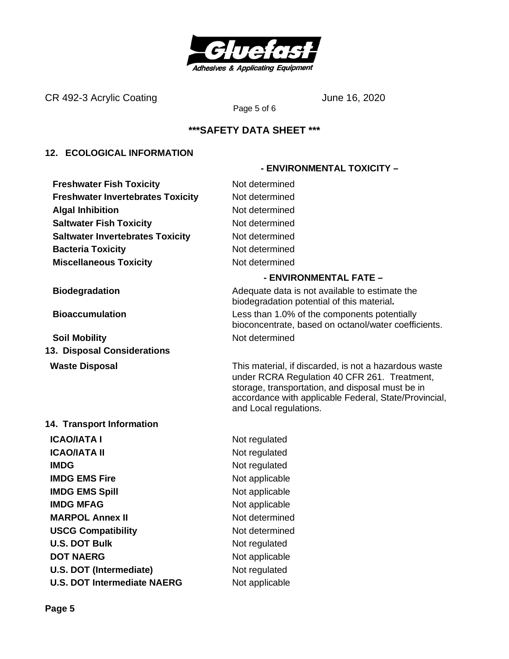

CR 492-3 Acrylic Coating Carrier Content of the United States of the United States June 16, 2020

Page 5 of 6

## **\*\*\*SAFETY DATA SHEET \*\*\***

### **12. ECOLOGICAL INFORMATION**

**Freshwater Fish Toxicity** Not determined **Freshwater Invertebrates Toxicity Mot determined Algal Inhibition** Not determined **Saltwater Fish Toxicity** Not determined **Saltwater Invertebrates Toxicity** Not determined **Bacteria Toxicity Not determined Miscellaneous Toxicity** Not determined

**Soil Mobility Not determined 13. Disposal Considerations**

#### **14. Transport Information**

**ICAO/IATA I** Not regulated **ICAO/IATA II** Not regulated **IMDG** Not regulated **IMDG EMS Fire** Not applicable **IMDG EMS Spill** Not applicable **IMDG MFAG** Not applicable **MARPOL Annex II** Not determined **USCG Compatibility** Not determined **U.S. DOT Bulk** Not regulated **DOT NAERG** Not applicable **U.S. DOT (Intermediate)** Not regulated **U.S. DOT Intermediate NAERG** Not applicable

#### **- ENVIRONMENTAL FATE –**

 **- ENVIRONMENTAL TOXICITY –**

**Biodegradation Biodegradation Adequate data is not available to estimate the** biodegradation potential of this material**. Bioaccumulation** Less than 1.0% of the components potentially bioconcentrate, based on octanol/water coefficients.

**Waste Disposal** This material, if discarded, is not a hazardous waste under RCRA Regulation 40 CFR 261. Treatment, storage, transportation, and disposal must be in accordance with applicable Federal, State/Provincial, and Local regulations.